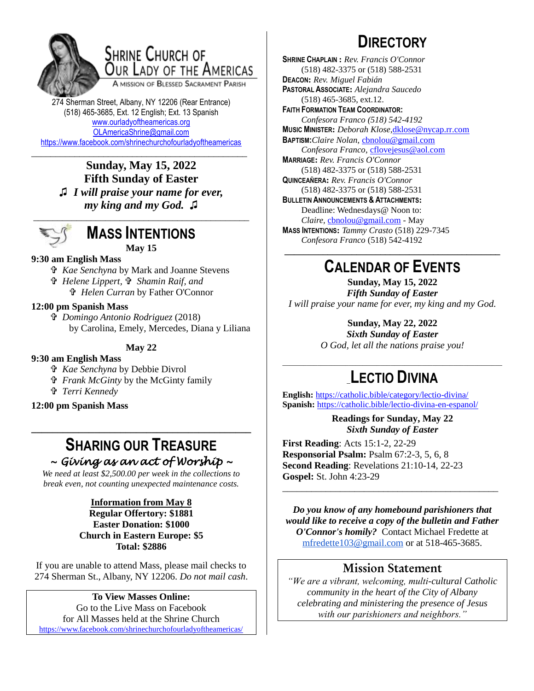

# SHRINE CHURCH OF OUR LADY OF THE AMERICAS

A MISSION OF BLESSED SACRAMENT PARISH

274 Sherman Street, Albany, NY 12206 (Rear Entrance) (518) 465-3685, Ext. 12 English; Ext. 13 Spanish [www.ourladyoftheamericas.org](http://www.ourladyoftheamericas.org/) [OLAmericaShrine@gmail.com](mailto:OLAmericaShrine@gmail.com) <https://www.facebook.com/shrinechurchofourladyoftheamericas>

\_\_\_\_\_\_\_\_\_\_\_\_\_\_\_\_\_\_\_\_\_\_\_\_\_\_\_\_\_\_\_\_\_\_\_\_\_\_\_\_\_\_\_\_\_ **Sunday, May 15, 2022 Fifth Sunday of Easter ♫** *I will praise your name for ever, my king and my God.* **♫**



# **MASS INTENTIONS May 15**

# **9:30 am English Mass**

 *Kae Senchyna* by Mark and Joanne Stevens

- *Helene Lippert, Shamin Raif, and* 
	- *Helen Curran* by Father O'Connor

### **12:00 pm Spanish Mass**

 *Domingo Antonio Rodriguez* (2018) by Carolina, Emely, Mercedes, Diana y Liliana

### **May 22**

### **9:30 am English Mass**

- *Kae Senchyna* by Debbie Divrol
- *Frank McGinty* by the McGinty family
- *Terri Kennedy*

### **12:00 pm Spanish Mass**

# **SHARING OUR TREASURE** *~ Giving as an act of Worship ~*

**\_\_\_\_\_\_\_\_\_\_\_\_\_\_\_\_\_\_\_\_\_\_\_\_\_\_\_\_\_\_\_\_\_\_\_\_\_\_\_\_\_\_**

*We need at least \$2,500.00 per week in the collections to break even, not counting unexpected maintenance costs.*

#### **Information from May 8 Regular Offertory: \$1881 Easter Donation: \$1000 Church in Eastern Europe: \$5 Total: \$2886**

If you are unable to attend Mass, please mail checks to 274 Sherman St., Albany, NY 12206. *Do not mail cash*.

**To View Masses Online:** Go to the Live Mass on Facebook for All Masses held at the Shrine Church <https://www.facebook.com/shrinechurchofourladyoftheamericas/>

# **DIRECTORY**

**SHRINE CHAPLAIN :** *Rev. Francis O'Connor* (518) 482-3375 or (518) 588-2531 **DEACON:** *Rev. Miguel Fabián* **PASTORAL ASSOCIATE:** *Alejandra Saucedo* (518) 465-3685, ext.12. **FAITH FORMATION TEAM COORDINATOR:** *Confesora Franco (518) 542-4192* **MUSIC MINISTER:** *Deborah Klose,*[dklose@nycap.rr.com](mailto:dklose@nycap.rr.com) **BAPTISM:***Claire Nolan*, [cbnolou@gmail.com](mailto:cbnolou@gmail.com) *Confesora Franco*, [cflovejesus@aol.com](mailto:cflovejesus@aol.com) **MARRIAGE:** *Rev. Francis O'Connor* (518) 482-3375 or (518) 588-2531 **QUINCEAÑERA:** *Rev. Francis O'Connor* (518) 482-3375 or (518) 588-2531 **BULLETIN ANNOUNCEMENTS & ATTACHMENTS:** Deadline: Wednesdays@ Noon to: *Claire,* [cbnolou@gmail.com](mailto:cbnolou@gmail.com) - May **MASS INTENTIONS:** *Tammy Crasto* (518) 229-7345 *Confesora Franco* (518) 542-4192 **\_\_\_\_\_\_\_\_\_\_\_\_\_\_\_\_\_\_\_\_\_\_\_\_\_\_\_\_\_\_\_\_\_\_\_\_\_\_\_\_\_\_\_\_\_**

# **CALENDAR OF EVENTS**

**Sunday, May 15, 2022** *Fifth Sunday of Easter I will praise your name for ever, my king and my God.*

# **Sunday, May 22, 2022**

*Sixth Sunday of Easter O God, let all the nations praise you!*

# \_\_\_\_\_\_\_\_\_\_\_\_\_\_\_\_\_\_\_\_\_\_\_\_\_\_\_\_\_\_\_\_\_\_\_\_\_\_\_\_\_\_\_\_\_\_\_\_\_\_\_\_\_\_\_\_\_\_\_\_\_\_\_ \_**LECTIO DIVINA**

**English:** <https://catholic.bible/category/lectio-divina/> **Spanish:** <https://catholic.bible/lectio-divina-en-espanol/>

> **Readings for Sunday, May 22** *Sixth Sunday of Easter*

**First Reading**: Acts 15:1-2, 22-29 **Responsorial Psalm:** Psalm 67:2-3, 5, 6, 8 **Second Reading**: Revelations 21:10-14, 22-23 **Gospel:** St. John 4:23-29

*Do you know of any homebound parishioners that would like to receive a copy of the bulletin and Father O'Connor's homily?* Contact Michael Fredette at [mfredette103@gmail.com](mailto:mfredette103@gmail.com) or at 518-465-3685.

\_\_\_\_\_\_\_\_\_\_\_\_\_\_\_\_\_\_\_\_\_\_\_\_\_\_\_\_\_\_\_\_\_\_\_\_\_\_\_\_\_\_\_\_\_

# **Mission Statement**

*"We are a vibrant, welcoming, multi-cultural Catholic community in the heart of the City of Albany celebrating and ministering the presence of Jesus with our parishioners and neighbors."*